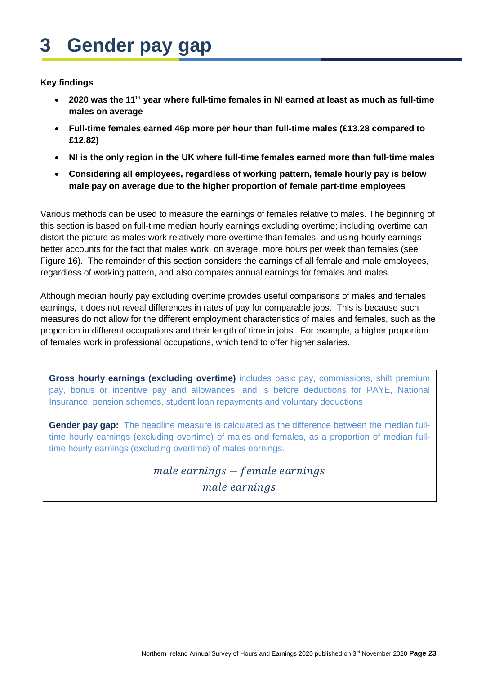# **3 Gender pay gap**

#### **Key findings**

- **2020 was the 11th year where full-time females in NI earned at least as much as full-time males on average**
- **Full-time females earned 46p more per hour than full-time males (£13.28 compared to £12.82)**
- **NI is the only region in the UK where full-time females earned more than full-time males**
- **Considering all employees, regardless of working pattern, female hourly pay is below male pay on average due to the higher proportion of female part-time employees**

Various methods can be used to measure the earnings of females relative to males. The beginning of this section is based on full-time median hourly earnings excluding overtime; including overtime can distort the picture as males work relatively more overtime than females, and using hourly earnings better accounts for the fact that males work, on average, more hours per week than females (see Figure 16). The remainder of this section considers the earnings of all female and male employees, regardless of working pattern, and also compares annual earnings for females and males.

Although median hourly pay excluding overtime provides useful comparisons of males and females earnings, it does not reveal differences in rates of pay for comparable jobs. This is because such measures do not allow for the different employment characteristics of males and females, such as the proportion in different occupations and their length of time in jobs. For example, a higher proportion of females work in professional occupations, which tend to offer higher salaries.

**Gross hourly earnings (excluding overtime)** includes basic pay, commissions, shift premium pay, bonus or incentive pay and allowances, and is before deductions for PAYE, National Insurance, pension schemes, student loan repayments and voluntary deductions

**Gender pay gap:** The headline measure is calculated as the difference between the median fulltime hourly earnings (excluding overtime) of males and females, as a proportion of median fulltime hourly earnings (excluding overtime) of males earnings.

> $male\ earnings - female\ earnings$ male earnings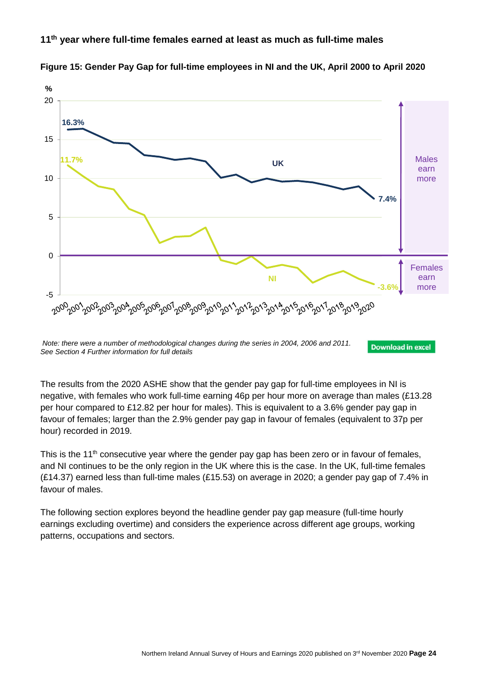#### **11th year where full-time females earned at least as much as full-time males**



**Figure 15: Gender Pay Gap for full-time employees in NI and the UK, April 2000 to April 2020**

**Download in excel** 

The results from the 2020 ASHE show that the gender pay gap for full-time employees in NI is negative, with females who work full-time earning 46p per hour more on average than males (£13.28 per hour compared to £12.82 per hour for males). This is equivalent to a 3.6% gender pay gap in favour of females; larger than the 2.9% gender pay gap in favour of females (equivalent to 37p per hour) recorded in 2019.

This is the 11<sup>th</sup> consecutive year where the gender pay gap has been zero or in favour of females, and NI continues to be the only region in the UK where this is the case. In the UK, full-time females (£14.37) earned less than full-time males (£15.53) on average in 2020; a gender pay gap of 7.4% in favour of males.

The following section explores beyond the headline gender pay gap measure (full-time hourly earnings excluding overtime) and considers the experience across different age groups, working patterns, occupations and sectors.

*Note: there were a number of methodological changes during the series in 2004, 2006 and 2011. See Section 4 Further information for full details*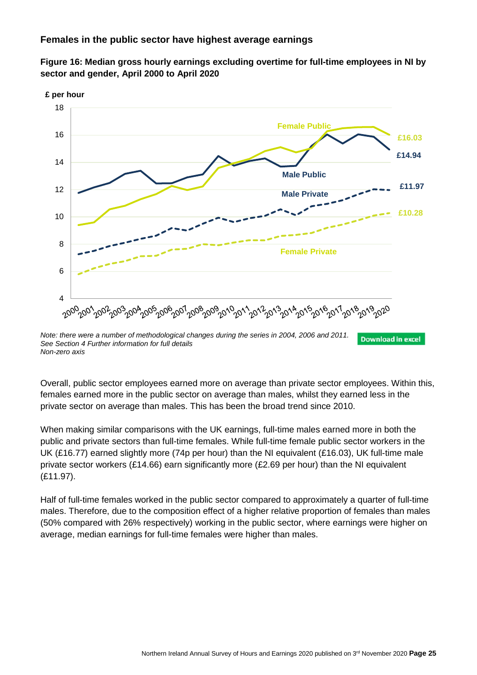#### **Females in the public sector have highest average earnings**





*See Section 4 Further information for full details Non-zero axis*

Overall, public sector employees earned more on average than private sector employees. Within this, females earned more in the public sector on average than males, whilst they earned less in the private sector on average than males. This has been the broad trend since 2010.

When making similar comparisons with the UK earnings, full-time males earned more in both the public and private sectors than full-time females. While full-time female public sector workers in the UK (£16.77) earned slightly more (74p per hour) than the NI equivalent (£16.03), UK full-time male private sector workers (£14.66) earn significantly more (£2.69 per hour) than the NI equivalent (£11.97).

Half of full-time females worked in the public sector compared to approximately a quarter of full-time males. Therefore, due to the composition effect of a higher relative proportion of females than males (50% compared with 26% respectively) working in the public sector, where earnings were higher on average, median earnings for full-time females were higher than males.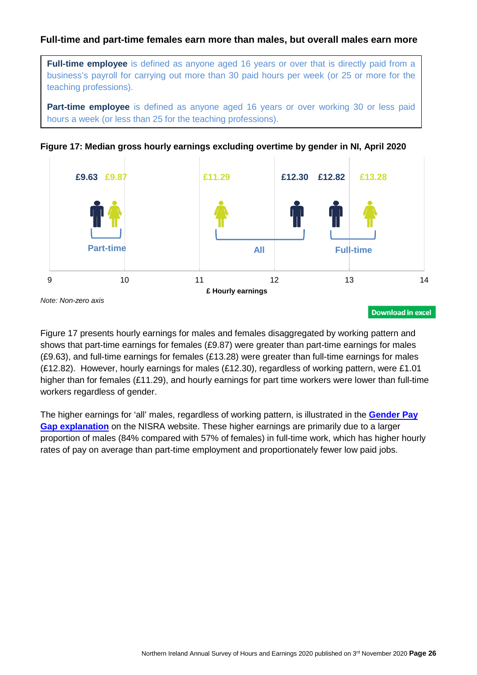## **Full-time and part-time females earn more than males, but overall males earn more**

**Full-time employee** is defined as anyone aged 16 years or over that is directly paid from a business's payroll for carrying out more than 30 paid hours per week (or 25 or more for the teaching professions).

**Part-time employee** is defined as anyone aged 16 years or over working 30 or less paid hours a week (or less than 25 for the teaching professions).





*Note: Non-zero axis*

Figure 17 presents hourly earnings for males and females disaggregated by working pattern and shows that part-time earnings for females (£9.87) were greater than part-time earnings for males (£9.63), and full-time earnings for females (£13.28) were greater than full-time earnings for males (£12.82). However, hourly earnings for males (£12.30), regardless of working pattern, were £1.01 higher than for females (£11.29), and hourly earnings for part time workers were lower than full-time workers regardless of gender.

The higher earnings for 'all' males, regardless of working pattern, is illustrated in the **[Gender Pay](https://www.nisra.gov.uk/statistics/labour-market-and-social-welfare/annual-survey-hours-and-earnings#toc-4)  [Gap explanation](https://www.nisra.gov.uk/statistics/labour-market-and-social-welfare/annual-survey-hours-and-earnings#toc-4)** on the NISRA website. These higher earnings are primarily due to a larger proportion of males (84% compared with 57% of females) in full-time work, which has higher hourly rates of pay on average than part-time employment and proportionately fewer low paid jobs.

**Download in excel**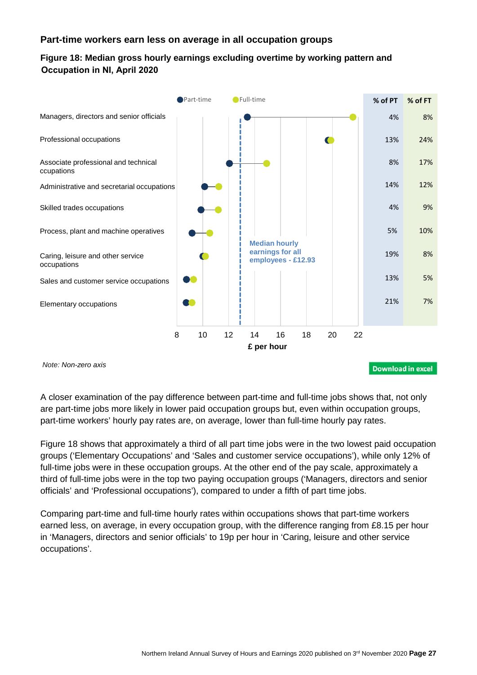## **Part-time workers earn less on average in all occupation groups**

## **Figure 18: Median gross hourly earnings excluding overtime by working pattern and Occupation in NI, April 2020**



A closer examination of the pay difference between part-time and full-time jobs shows that, not only are part-time jobs more likely in lower paid occupation groups but, even within occupation groups, part-time workers' hourly pay rates are, on average, lower than full-time hourly pay rates.

Figure 18 shows that approximately a third of all part time jobs were in the two lowest paid occupation groups ('Elementary Occupations' and 'Sales and customer service occupations'), while only 12% of full-time jobs were in these occupation groups. At the other end of the pay scale, approximately a third of full-time jobs were in the top two paying occupation groups ('Managers, directors and senior officials' and 'Professional occupations'), compared to under a fifth of part time jobs.

Comparing part-time and full-time hourly rates within occupations shows that part-time workers earned less, on average, in every occupation group, with the difference ranging from £8.15 per hour in 'Managers, directors and senior officials' to 19p per hour in 'Caring, leisure and other service occupations'.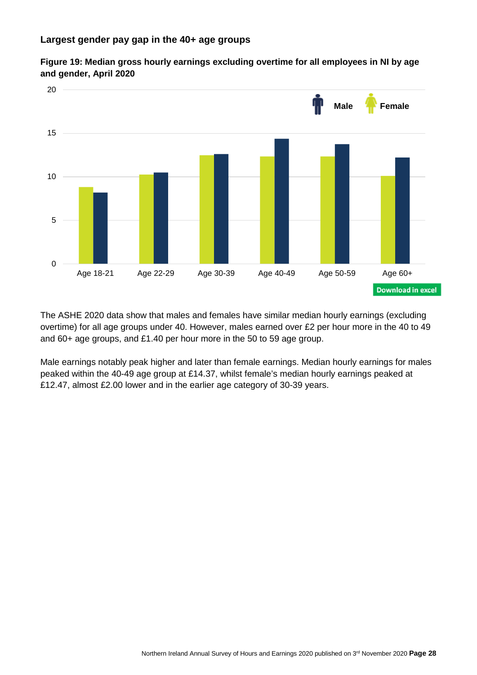



The ASHE 2020 data show that males and females have similar median hourly earnings (excluding overtime) for all age groups under 40. However, males earned over £2 per hour more in the 40 to 49 and 60+ age groups, and £1.40 per hour more in the 50 to 59 age group.

Male earnings notably peak higher and later than female earnings. Median hourly earnings for males peaked within the 40-49 age group at £14.37, whilst female's median hourly earnings peaked at £12.47, almost £2.00 lower and in the earlier age category of 30-39 years.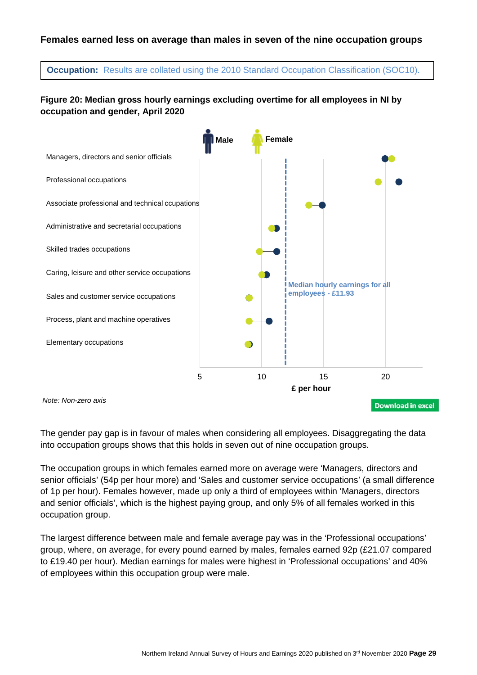#### **Females earned less on average than males in seven of the nine occupation groups**

**Occupation:** Results are collated using the 2010 Standard Occupation Classification (SOC10).

## **Figure 20: Median gross hourly earnings excluding overtime for all employees in NI by occupation and gender, April 2020**



The gender pay gap is in favour of males when considering all employees. Disaggregating the data into occupation groups shows that this holds in seven out of nine occupation groups.

The occupation groups in which females earned more on average were 'Managers, directors and senior officials' (54p per hour more) and 'Sales and customer service occupations' (a small difference of 1p per hour). Females however, made up only a third of employees within 'Managers, directors and senior officials', which is the highest paying group, and only 5% of all females worked in this occupation group.

The largest difference between male and female average pay was in the 'Professional occupations' group, where, on average, for every pound earned by males, females earned 92p (£21.07 compared to £19.40 per hour). Median earnings for males were highest in 'Professional occupations' and 40% of employees within this occupation group were male.